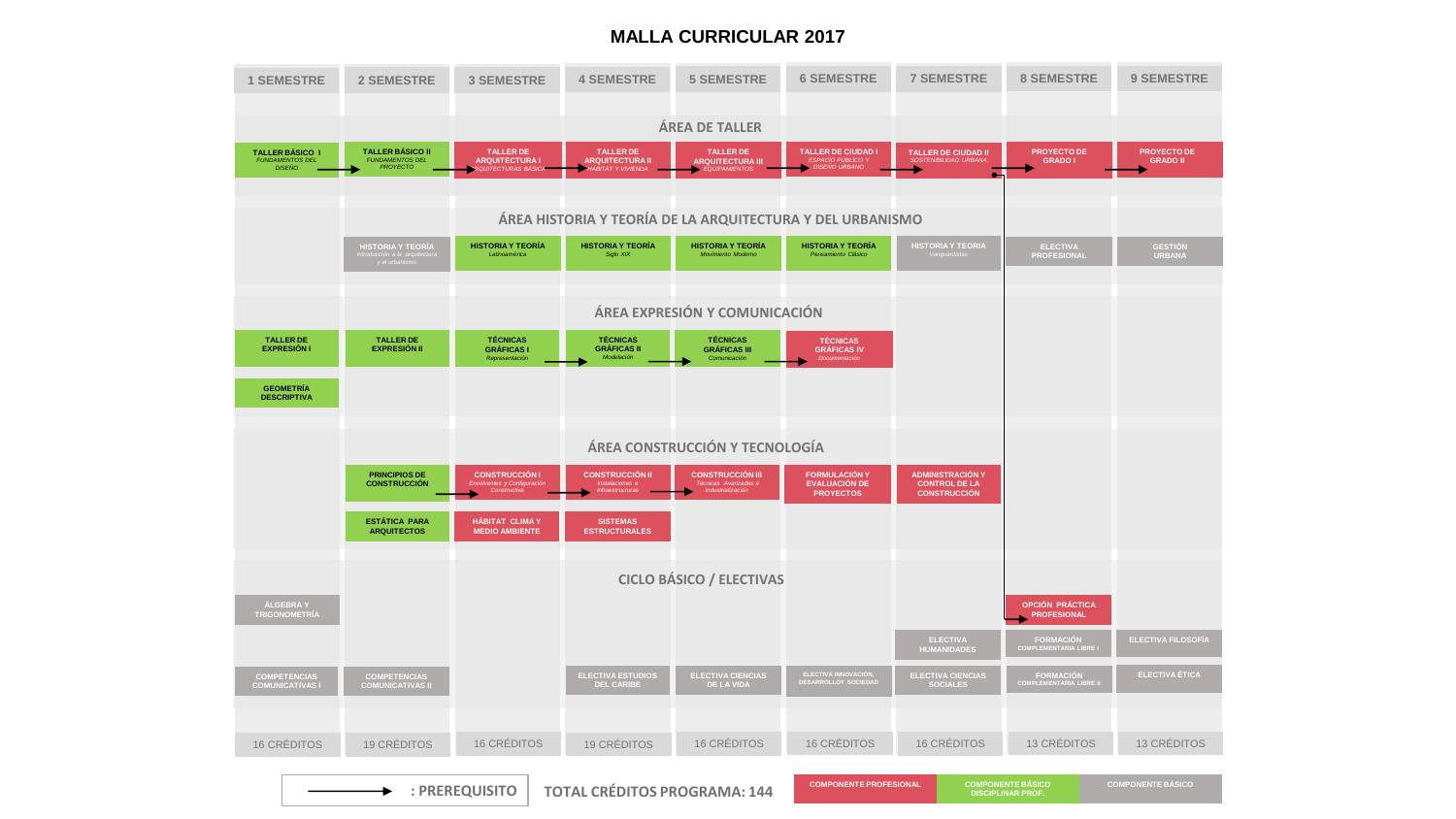## **MALLA CURRICULAR 2017**

| <b>1 SEMESTRE</b>                                                 | <b>2 SEMESTRE</b>                                             | <b>3 SEMESTRE</b>                                                       | <b>4 SEMESTRE</b>                                                | <b>5 SEMESTRE</b>                                                    | <b>6 SEMESTRE</b>                                                           | <b>7 SEMESTRE</b>                                                                     | <b>8 SEMESTRE</b>                        | <b>9 SEMESTRE</b>               |
|-------------------------------------------------------------------|---------------------------------------------------------------|-------------------------------------------------------------------------|------------------------------------------------------------------|----------------------------------------------------------------------|-----------------------------------------------------------------------------|---------------------------------------------------------------------------------------|------------------------------------------|---------------------------------|
| <b>ÁREA DE TALLER</b>                                             |                                                               |                                                                         |                                                                  |                                                                      |                                                                             |                                                                                       |                                          |                                 |
| <b>TALLER BÁSICO I</b><br><b>FUNDAMENTOS DEL</b><br><b>DISEÑO</b> | <b>TALLER BÁSICO II</b><br><b>FUNDAMENTOS DEL</b><br>PROYECTO | <b>TALLER DE</b><br><b>ARQUITECTURA1</b><br>QUITECTURAS BÁSICA          | <b>TALLER DE</b><br><b>ARQUITECTURA II</b><br>HÁBITAT Y VIVIENDA | <b>TALLER DE</b><br><b>ARQUITECTURA III</b><br>EQUIPAMIENTOS         | <b>TALLER DE CIUDAD I</b><br><b>ESPACIO PÚBLICO</b><br><b>DISEÑO URBANO</b> | <b>TALLER DE CIUDAD II</b><br><b>SOSTENIBILIDAD URBANA</b>                            | <b>PROYECTO DE</b><br><b>GRADO I</b>     | PROYECTO DE<br><b>GRADO II</b>  |
|                                                                   |                                                               |                                                                         |                                                                  |                                                                      |                                                                             |                                                                                       |                                          |                                 |
|                                                                   | ÁREA HISTORIA Y TEORÍA DE LA ARQUITECTURA Y DEL URBANISMO     |                                                                         |                                                                  |                                                                      |                                                                             |                                                                                       |                                          |                                 |
|                                                                   | HISTORIA Y TEORÍA<br>solon a la arquit.<br>y el urbanismo     | <b>HISTORIA Y TEORÍA</b><br><b>Latinoamérica</b>                        | <b>HISTORIA Y TEORÍA</b><br>Siglo XIX                            | <b>HISTORIA Y TEORÍA</b><br>Movimiento Moderno                       | <b>HISTORIA Y TEORÍA</b><br>Pensamiento Clásico                             | <b>HISTORIA Y TEORIA</b>                                                              | <b>ELECTIVA</b><br><b>PROFESIONAL</b>    | <b>GESTIÓN</b><br><b>URBANA</b> |
|                                                                   |                                                               |                                                                         |                                                                  |                                                                      |                                                                             |                                                                                       |                                          |                                 |
|                                                                   | ÁREA EXPRESIÓN Y COMUNICACIÓN                                 |                                                                         |                                                                  |                                                                      |                                                                             |                                                                                       |                                          |                                 |
| <b>TALLER DE</b><br><b>EXPRESIÓN I</b>                            | <b>TALLER DE</b><br><b>EXPRESIÓN II</b>                       | <b>TÉCNICAS</b><br><b>GRÁFICAS I</b><br>Representación                  | <b>TÉCNICAS</b><br><b>GRÁFICAS II</b><br>Modelación              | <b>TÉCNICAS</b><br><b>GRÁFICAS III</b><br>Comunicación               | <b>TÉCNICAS</b><br><b>GRÁFICAS IV</b><br>Documentación                      |                                                                                       |                                          |                                 |
| <b>GEOMETRÍA</b><br><b>DESCRIPTIVA</b>                            |                                                               |                                                                         |                                                                  |                                                                      |                                                                             |                                                                                       |                                          |                                 |
|                                                                   |                                                               |                                                                         |                                                                  |                                                                      |                                                                             |                                                                                       |                                          |                                 |
|                                                                   | ÁREA CONSTRUCCIÓN Y TECNOLOGÍA                                |                                                                         |                                                                  |                                                                      |                                                                             |                                                                                       |                                          |                                 |
|                                                                   | <b>PRINCIPIOS DE</b><br><b>CONSTRUCCIÓN</b>                   | <b>CONSTRUCCIÓN I</b><br>entes y Configuració<br>Frivol<br>Constructiva | <b>CONSTRUCCIÓN II</b><br>ciones i<br>Infraestructuras           | <b>CONSTRUCCIÓN III</b><br>Técnicas Avanzadas e<br>Industrialización | <b>FORMULACIÓN Y</b><br><b>EVALUACIÓN DE</b><br><b>PROYECTOS</b>            | <b>ADMINISTRACIÓN Y</b><br><b>CONTROL DE LA</b><br><b>CONSTRUCCIÓN</b>                |                                          |                                 |
|                                                                   | <b>ESTÁTICA PARA</b><br><b>ARQUITECTOS</b>                    | HÁBITAT CLIMAY<br><b>MEDIO AMBIENTE</b>                                 | <b>SISTEMAS</b><br><b>ESTRUCTURALES</b>                          |                                                                      |                                                                             |                                                                                       |                                          |                                 |
| <b>CICLO BÁSICO / ELECTIVAS</b>                                   |                                                               |                                                                         |                                                                  |                                                                      |                                                                             |                                                                                       |                                          |                                 |
| ÁLGEBRA Y<br><b>TRIGONOMETRÍA</b>                                 |                                                               |                                                                         |                                                                  |                                                                      |                                                                             |                                                                                       | OPCIÓN PRÁCTICA<br><b>PROFESIONAL</b>    |                                 |
|                                                                   |                                                               |                                                                         |                                                                  |                                                                      |                                                                             | <b>ELECTIVA</b><br><b>HUMANIDADES</b>                                                 | FORMACIÓN<br>COMPLEMENTARIA LIBRE I      | <b>ELECTIVA FILOSOFÍA</b>       |
| <b>COMPETENCIAS</b><br><b>COMUNICATIVAS I</b>                     | <b>COMPETENCIAS</b><br><b>COMUNICATIVAS II</b>                |                                                                         | <b>ELECTIVA ESTUDIOS</b><br><b>DEL CARIBE</b>                    | <b>ELECTIVA CIENCIAS</b><br><b>DE LA VIDA</b>                        | <b>ELECTIVA INNOVACIÓN,<br/>DESARROLLOY SOC<u>IEDAD</u></b>                 | <b>ELECTIVA CIENCIAS</b><br><b>SOCIALES</b>                                           | <b>FORMACIÓN</b><br>COMPLEMENTARIA LIBRE | <b>ELECTIVA ÉTICA</b>           |
|                                                                   |                                                               |                                                                         |                                                                  |                                                                      |                                                                             |                                                                                       |                                          |                                 |
| <b>16 CREDITOS</b>                                                | <b>19 CRÉDITOS</b>                                            | <b>16 CRÉDITOS</b>                                                      | <b>19 CRÉDITOS</b>                                               | 16 CRÉDITOS                                                          | <b>16 CRÉDITOS</b>                                                          | <b>16 CRÉDITOS</b>                                                                    | 13 CRÉDITOS                              | 13 CRÉDITOS                     |
| : PREREQUISITO<br><b>TOTAL CRÉDITOS PROGRAMA: 144</b>             |                                                               |                                                                         |                                                                  |                                                                      |                                                                             | <b>COMPONENTE BÁSICO</b><br><b>COMPONENTE PROFESIONAL</b><br><b>DISCIPLINAR PROF.</b> |                                          | <b>COMPONENTE BÁSICO</b>        |